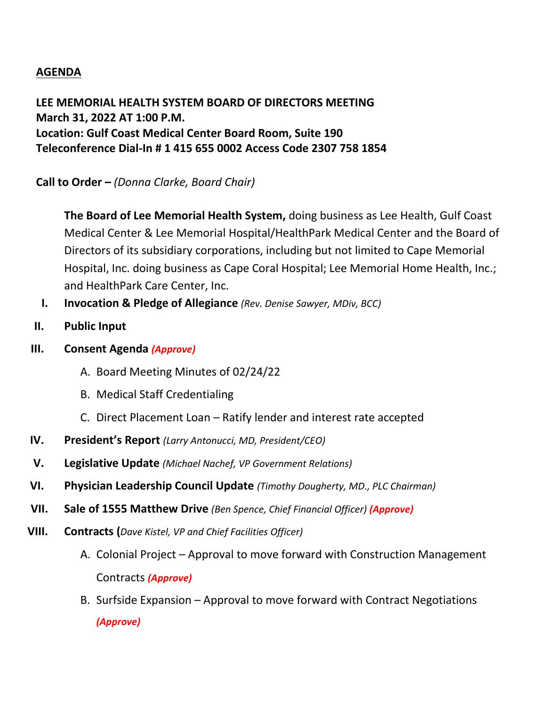## **AGENDA**

**LEE MEMORIAL HEALTH SYSTEM BOARD OF DIRECTORS MEETING March 31, 2022 AT 1:00 P.M. Location: Gulf Coast Medical Center Board Room, Suite 190 Teleconference Dial-In # 1 415 655 0002 Access Code 2307 758 1854**

**Call to Order –** *(Donna Clarke, Board Chair)*

**The Board of Lee Memorial Health System,** doing business as Lee Health, Gulf Coast Medical Center & Lee Memorial Hospital/HealthPark Medical Center and the Board of Directors of its subsidiary corporations, including but not limited to Cape Memorial Hospital, Inc. doing business as Cape Coral Hospital; Lee Memorial Home Health, Inc.; and HealthPark Care Center, Inc.

- **I. Invocation & Pledge of Allegiance** *(Rev. Denise Sawyer, MDiv, BCC)*
- **II. Public Input**
- **III. Consent Agenda** *(Approve)*
	- A. Board Meeting Minutes of 02/24/22
	- B. Medical Staff Credentialing
	- C. Direct Placement Loan Ratify lender and interest rate accepted
- **IV. President's Report** *(Larry Antonucci, MD, President/CEO)*
- **V. Legislative Update** *(Michael Nachef, VP Government Relations)*
- **VI. Physician Leadership Council Update** *(Timothy Dougherty, MD., PLC Chairman)*
- **VII. Sale of 1555 Matthew Drive** *(Ben Spence, Chief Financial Officer) (Approve)*
- **VIII. Contracts (***Dave Kistel, VP and Chief Facilities Officer)*
	- A. Colonial Project Approval to move forward with Construction Management Contracts *(Approve)*
	- B. Surfside Expansion Approval to move forward with Contract Negotiations *(Approve)*